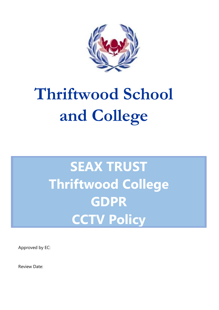

# **Thriftwood School and College**

# **SEAX TRUST Thriftwood College GDPR CCTV Policy**

Approved by EC:

Review Date: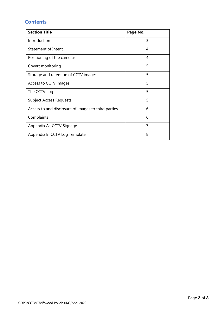### **Contents**

| <b>Section Title</b>                                | Page No. |
|-----------------------------------------------------|----------|
| Introduction                                        | 3        |
| <b>Statement of Intent</b>                          | 4        |
| Positioning of the cameras                          | 4        |
| Covert monitoring                                   | 5        |
| Storage and retention of CCTV images                | 5        |
| Access to CCTV images                               | 5        |
| The CCTV Log                                        | 5        |
| <b>Subject Access Requests</b>                      | 5        |
| Access to and disclosure of images to third parties | 6        |
| Complaints                                          | 6        |
| Appendix A: CCTV Signage                            | 7        |
| Appendix B: CCTV Log Template                       | 8        |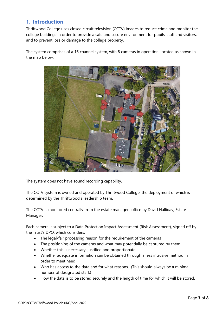### **1. Introduction**

Thriftwood College uses closed circuit television (CCTV) images to reduce crime and monitor the college buildings in order to provide a safe and secure environment for pupils, staff and visitors, and to prevent loss or damage to the college property.

The system comprises of a 16 channel system, with 8 cameras in operation, located as shown in the map below:



The system does not have sound recording capability.

The CCTV system is owned and operated by Thriftwood College, the deployment of which is determined by the Thriftwood's leadership team.

The CCTV is monitored centrally from the estate managers office by David Halliday, Estate Manager.

Each camera is subject to a Data Protection Impact Assessment (Risk Assessment), signed off by the Trust's DPO, which considers:

- The legal/fair processing reason for the requirement of the cameras
- The positioning of the cameras and what may potentially be captured by them
- Whether this is necessary, justified and proportionate
- Whether adequate information can be obtained through a less intrusive method in order to meet need
- Who has access to the data and for what reasons. (This should always be a minimal number of designated staff.)
- How the data is to be stored securely and the length of time for which it will be stored.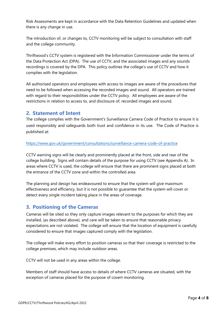Risk Assessments are kept in accordance with the Data Retention Guidelines and updated when there is any change in use.

The introduction of, or changes to, CCTV monitoring will be subject to consultation with staff and the college community.

Thriftwood's CCTV system is registered with the Information Commissioner under the terms of the Data Protection Act (DPA). The use of CCTV, and the associated images and any sounds recordings is covered by the DPA. This policy outlines the college's use of CCTV and how it complies with the legislation.

All authorised operators and employees with access to images are aware of the procedures that need to be followed when accessing the recorded images and sound. All operators are trained with regard to their responsibilities under the CCTV policy. All employees are aware of the restrictions in relation to access to, and disclosure of, recorded images and sound.

#### **2. Statement of Intent**

The college complies with the Government's Surveillance Camera Code of Practice to ensure it is used responsibly and safeguards both trust and confidence in its use. The Code of Practice is published at:

#### <https://www.gov.uk/government/consultations/surveillance-camera-code-of-practice>

CCTV warning signs will be clearly and prominently placed at the front, side and rear of the college building. Signs will contain details of the purpose for using CCTV (see Appendix A). In areas where CCTV is used, the college will ensure that there are prominent signs placed at both the entrance of the CCTV zone and within the controlled area.

The planning and design has endeavoured to ensure that the system will give maximum effectiveness and efficiency, but it is not possible to guarantee that the system will cover or detect every single incident taking place in the areas of coverage.

#### **3. Positioning of the Cameras**

Cameras will be sited so they only capture images relevant to the purposes for which they are installed, (as described above), and care will be taken to ensure that reasonable privacy expectations are not violated. The college will ensure that the location of equipment is carefully considered to ensure that images captured comply with the legislation.

The college will make every effort to position cameras so that their coverage is restricted to the college premises, which may include outdoor areas.

CCTV will not be used in any areas within the college.

Members of staff should have access to details of where CCTV cameras are situated, with the exception of cameras placed for the purpose of covert monitoring.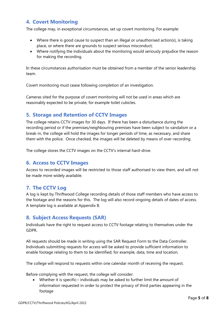#### **4. Covert Monitoring**

The college may, in exceptional circumstances, set up covert monitoring. For example:

- Where there is good cause to suspect than an illegal or unauthorised action(s), is taking place, or where there are grounds to suspect serious misconduct;
- Where notifying the individuals about the monitoring would seriously prejudice the reason for making the recording.

In these circumstances authorisation must be obtained from a member of the senior leadership team.

Covert monitoring must cease following completion of an investigation.

Cameras sited for the purpose of covert monitoring will not be used in areas which are reasonably expected to be private, for example toilet cubicles.

#### **5. Storage and Retention of CCTV Images**

The college retains CCTV images for 30 days. If there has been a disturbance during the recording period or if the premises/neighbouring premises have been subject to vandalism or a break-in, the college will hold the images for longer periods of time, as necessary, and share them with the police. Once checked, the images will be deleted by means of over-recording.

The college stores the CCTV images on the CCTV's internal hard-drive.

#### **6. Access to CCTV Images**

Access to recorded images will be restricted to those staff authorised to view them, and will not be made more widely available.

#### **7. The CCTV Log**

A log is kept by Thriftwood College recording details of those staff members who have access to the footage and the reasons for this. The log will also record ongoing details of dates of access. A template log is available at Appendix B.

#### **8. Subject Access Requests (SAR)**

Individuals have the right to request access to CCTV footage relating to themselves under the GDPR.

All requests should be made in writing using the SAR Request Form to the Data Controller. Individuals submitting requests for access will be asked to provide sufficient information to enable footage relating to them to be identified; for example, data, time and location.

The college will respond to requests within one calendar month of receiving the request.

Before complying with the request, the college will consider:

• Whether it is specific:- individuals may be asked to further limit the amount of information requested in order to protect the privacy of third parties appearing in the footage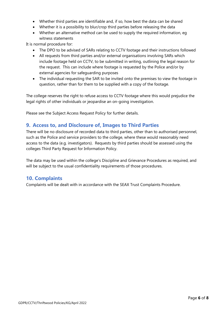- Whether third parties are identifiable and, if so, how best the data can be shared
- Whether it is a possibility to blur/crop third parties before releasing the data
- Whether an alternative method can be used to supply the required information, eg witness statements

It is normal procedure for:

- The DPO to be advised of SARs relating to CCTV footage and their instructions followed
- All requests from third parties and/or external organisations involving SARs which include footage held on CCTV, to be submitted in writing, outlining the legal reason for the request. This can include where footage is requested by the Police and/or by external agencies for safeguarding purposes
- The individual requesting the SAR to be invited onto the premises to view the footage in question, rather than for them to be supplied with a copy of the footage.

The college reserves the right to refuse access to CCTV footage where this would prejudice the legal rights of other individuals or jeopardise an on-going investigation.

Please see the Subject Access Request Policy for further details.

#### **9. Access to, and Disclosure of, Images to Third Parties**

There will be no disclosure of recorded data to third parties, other than to authorised personnel, such as the Police and service providers to the college, where these would reasonably need access to the data (e.g. investigators). Requests by third parties should be assessed using the colleges Third Party Request for Information Policy.

The data may be used within the college's Discipline and Grievance Procedures as required, and will be subject to the usual confidentiality requirements of those procedures.

#### **10. Complaints**

Complaints will be dealt with in accordance with the SEAX Trust Complaints Procedure.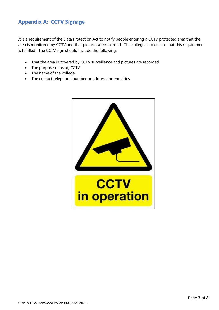## **Appendix A: CCTV Signage**

It is a requirement of the Data Protection Act to notify people entering a CCTV protected area that the area is monitored by CCTV and that pictures are recorded. The college is to ensure that this requirement is fulfilled. The CCTV sign should include the following:

- That the area is covered by CCTV surveillance and pictures are recorded
- The purpose of using CCTV
- The name of the college
- The contact telephone number or address for enquiries.